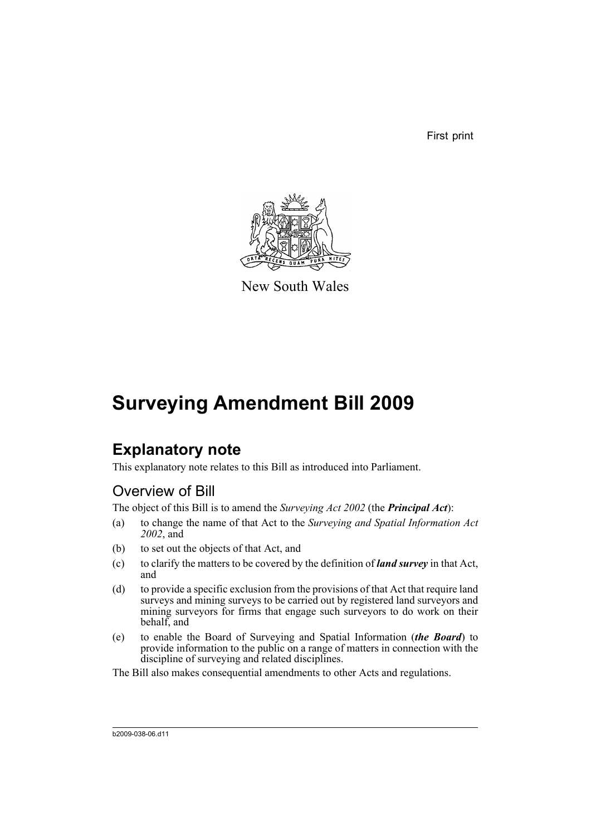First print



New South Wales

# **Surveying Amendment Bill 2009**

# **Explanatory note**

This explanatory note relates to this Bill as introduced into Parliament.

## Overview of Bill

The object of this Bill is to amend the *Surveying Act 2002* (the *Principal Act*):

- (a) to change the name of that Act to the *Surveying and Spatial Information Act 2002*, and
- (b) to set out the objects of that Act, and
- (c) to clarify the matters to be covered by the definition of *land survey* in that Act, and
- (d) to provide a specific exclusion from the provisions of that Act that require land surveys and mining surveys to be carried out by registered land surveyors and mining surveyors for firms that engage such surveyors to do work on their behalf, and
- (e) to enable the Board of Surveying and Spatial Information (*the Board*) to provide information to the public on a range of matters in connection with the discipline of surveying and related disciplines.

The Bill also makes consequential amendments to other Acts and regulations.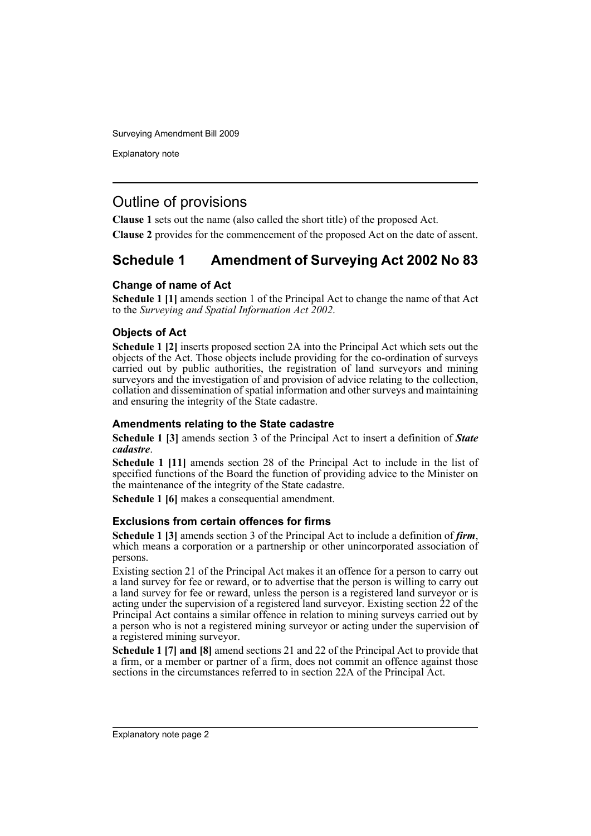Explanatory note

### Outline of provisions

**Clause 1** sets out the name (also called the short title) of the proposed Act.

**Clause 2** provides for the commencement of the proposed Act on the date of assent.

### **Schedule 1 Amendment of Surveying Act 2002 No 83**

#### **Change of name of Act**

**Schedule 1 [1]** amends section 1 of the Principal Act to change the name of that Act to the *Surveying and Spatial Information Act 2002*.

#### **Objects of Act**

**Schedule 1 [2]** inserts proposed section 2A into the Principal Act which sets out the objects of the Act. Those objects include providing for the co-ordination of surveys carried out by public authorities, the registration of land surveyors and mining surveyors and the investigation of and provision of advice relating to the collection, collation and dissemination of spatial information and other surveys and maintaining and ensuring the integrity of the State cadastre.

#### **Amendments relating to the State cadastre**

**Schedule 1 [3]** amends section 3 of the Principal Act to insert a definition of *State cadastre*.

**Schedule 1 [11]** amends section 28 of the Principal Act to include in the list of specified functions of the Board the function of providing advice to the Minister on the maintenance of the integrity of the State cadastre.

**Schedule 1 [6]** makes a consequential amendment.

#### **Exclusions from certain offences for firms**

**Schedule 1 [3]** amends section 3 of the Principal Act to include a definition of *firm*, which means a corporation or a partnership or other unincorporated association of persons.

Existing section 21 of the Principal Act makes it an offence for a person to carry out a land survey for fee or reward, or to advertise that the person is willing to carry out a land survey for fee or reward, unless the person is a registered land surveyor or is acting under the supervision of a registered land surveyor. Existing section 22 of the Principal Act contains a similar offence in relation to mining surveys carried out by a person who is not a registered mining surveyor or acting under the supervision of a registered mining surveyor.

**Schedule 1 [7] and [8]** amend sections 21 and 22 of the Principal Act to provide that a firm, or a member or partner of a firm, does not commit an offence against those sections in the circumstances referred to in section 22A of the Principal Act.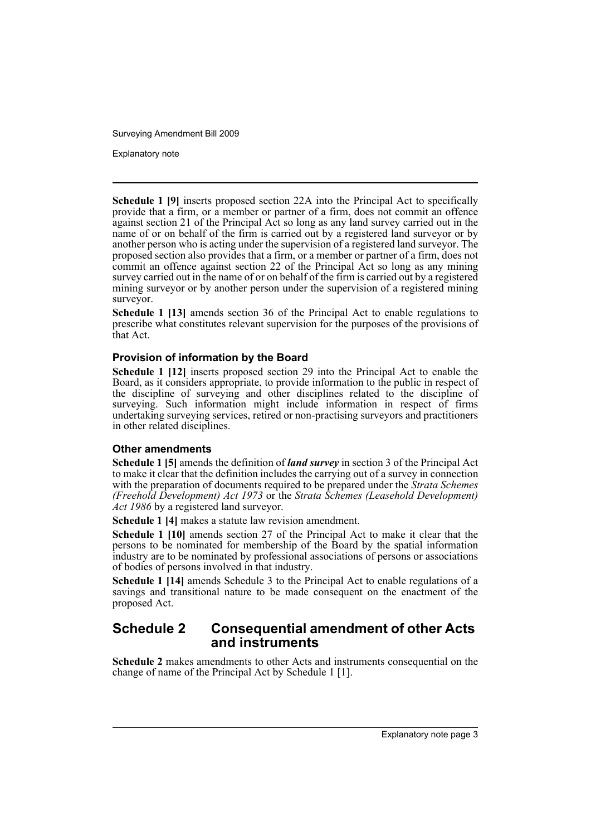Explanatory note

**Schedule 1 [9]** inserts proposed section 22A into the Principal Act to specifically provide that a firm, or a member or partner of a firm, does not commit an offence against section 21 of the Principal Act so long as any land survey carried out in the name of or on behalf of the firm is carried out by a registered land surveyor or by another person who is acting under the supervision of a registered land surveyor. The proposed section also provides that a firm, or a member or partner of a firm, does not commit an offence against section 22 of the Principal Act so long as any mining survey carried out in the name of or on behalf of the firm is carried out by a registered mining surveyor or by another person under the supervision of a registered mining surveyor.

**Schedule 1 [13]** amends section 36 of the Principal Act to enable regulations to prescribe what constitutes relevant supervision for the purposes of the provisions of that Act.

#### **Provision of information by the Board**

**Schedule 1 [12]** inserts proposed section 29 into the Principal Act to enable the Board, as it considers appropriate, to provide information to the public in respect of the discipline of surveying and other disciplines related to the discipline of surveying. Such information might include information in respect of firms undertaking surveying services, retired or non-practising surveyors and practitioners in other related disciplines.

#### **Other amendments**

**Schedule 1 [5]** amends the definition of *land survey* in section 3 of the Principal Act to make it clear that the definition includes the carrying out of a survey in connection with the preparation of documents required to be prepared under the *Strata Schemes (Freehold Development) Act 1973* or the *Strata Schemes (Leasehold Development) Act 1986* by a registered land surveyor.

**Schedule 1 [4]** makes a statute law revision amendment.

**Schedule 1 [10]** amends section 27 of the Principal Act to make it clear that the persons to be nominated for membership of the Board by the spatial information industry are to be nominated by professional associations of persons or associations of bodies of persons involved in that industry.

**Schedule 1 [14]** amends Schedule 3 to the Principal Act to enable regulations of a savings and transitional nature to be made consequent on the enactment of the proposed Act.

### **Schedule 2 Consequential amendment of other Acts and instruments**

**Schedule 2** makes amendments to other Acts and instruments consequential on the change of name of the Principal Act by Schedule 1 [1].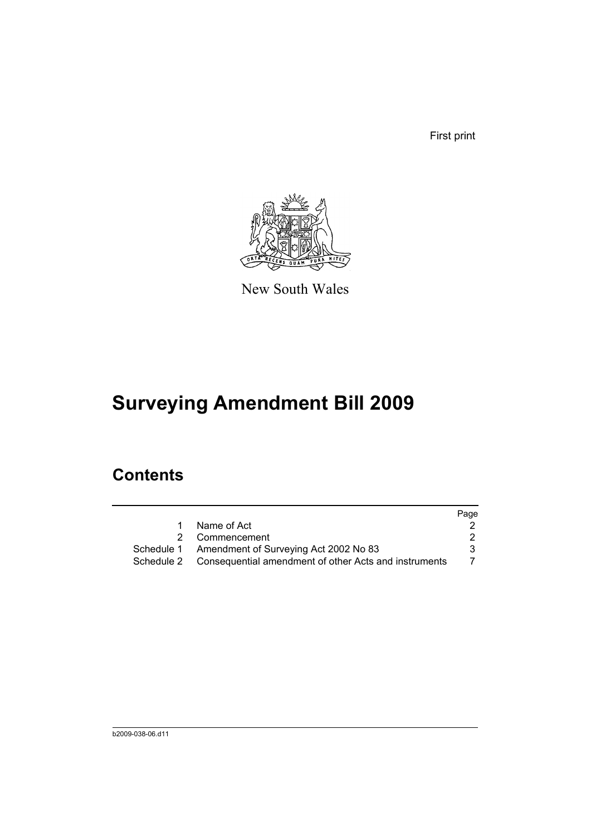First print



New South Wales

# **Surveying Amendment Bill 2009**

# **Contents**

|    |                                                                  | Page |
|----|------------------------------------------------------------------|------|
| 1. | Name of Act                                                      |      |
|    | 2 Commencement                                                   |      |
|    | Schedule 1 Amendment of Surveying Act 2002 No 83                 | 3    |
|    | Schedule 2 Consequential amendment of other Acts and instruments |      |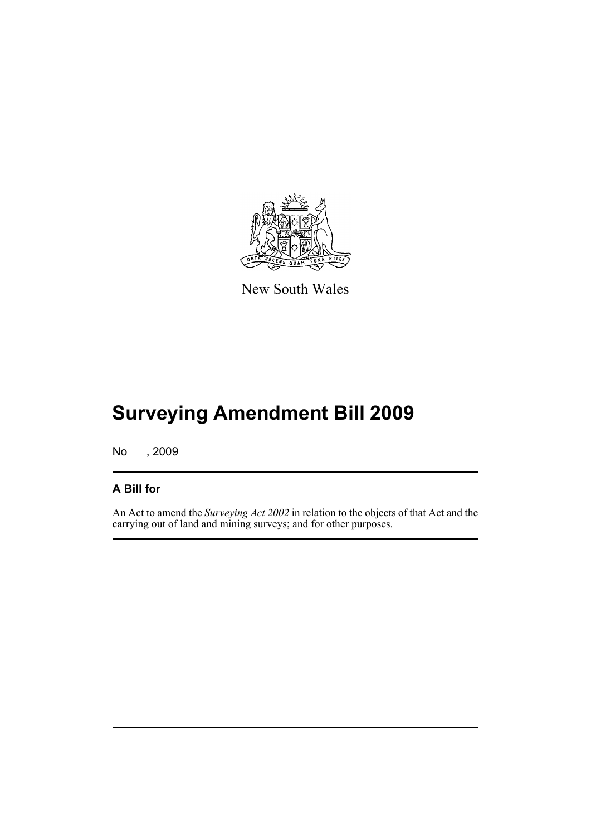

New South Wales

# **Surveying Amendment Bill 2009**

No , 2009

### **A Bill for**

An Act to amend the *Surveying Act 2002* in relation to the objects of that Act and the carrying out of land and mining surveys; and for other purposes.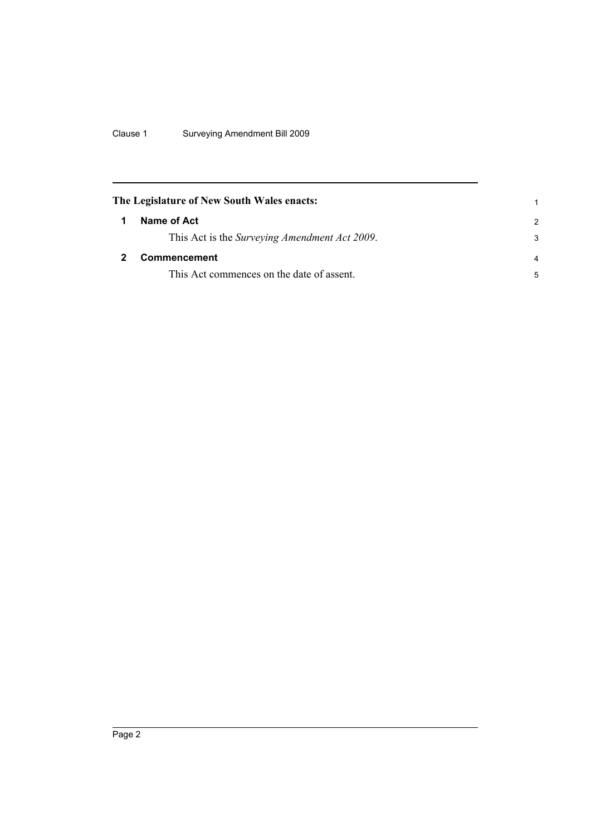Clause 1 Surveying Amendment Bill 2009

<span id="page-7-1"></span><span id="page-7-0"></span>

|   | The Legislature of New South Wales enacts:            |                |
|---|-------------------------------------------------------|----------------|
| 1 | Name of Act                                           | 2              |
|   | This Act is the <i>Surveying Amendment Act 2009</i> . | 3              |
|   | <b>Commencement</b>                                   | $\overline{4}$ |
|   | This Act commences on the date of assent.             | 5              |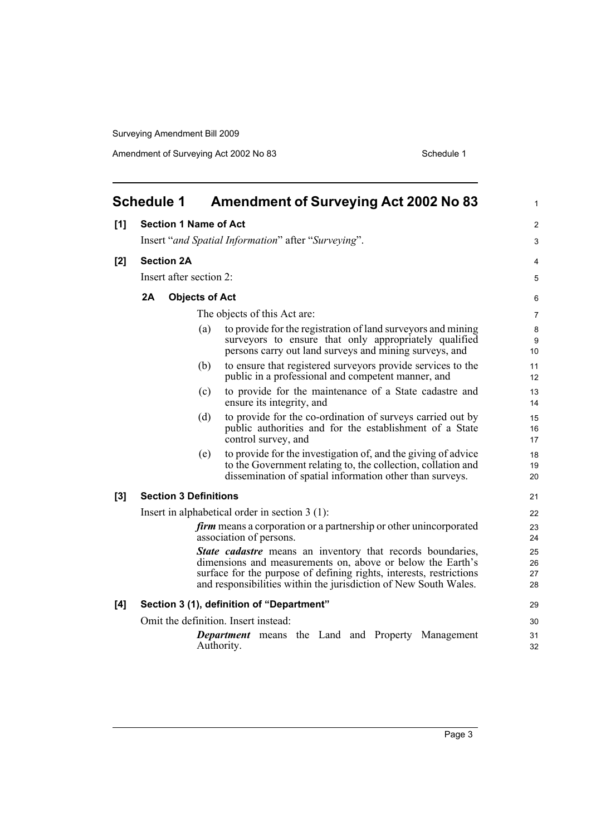<span id="page-8-0"></span>

|     | <b>Schedule 1</b><br><b>Amendment of Surveying Act 2002 No 83</b>                                                                                                                                                                                                          | 1                    |
|-----|----------------------------------------------------------------------------------------------------------------------------------------------------------------------------------------------------------------------------------------------------------------------------|----------------------|
| [1] | <b>Section 1 Name of Act</b>                                                                                                                                                                                                                                               | $\overline{2}$       |
|     | Insert "and Spatial Information" after "Surveying".                                                                                                                                                                                                                        | 3                    |
| [2] | <b>Section 2A</b>                                                                                                                                                                                                                                                          | 4                    |
|     | Insert after section 2:                                                                                                                                                                                                                                                    | 5                    |
|     | 2A<br><b>Objects of Act</b>                                                                                                                                                                                                                                                | 6                    |
|     | The objects of this Act are:                                                                                                                                                                                                                                               | 7                    |
|     | to provide for the registration of land surveyors and mining<br>(a)                                                                                                                                                                                                        |                      |
|     | surveyors to ensure that only appropriately qualified<br>persons carry out land surveys and mining surveys, and                                                                                                                                                            | 8<br>9<br>10         |
|     | to ensure that registered surveyors provide services to the<br>(b)<br>public in a professional and competent manner, and                                                                                                                                                   | 11<br>12             |
|     | to provide for the maintenance of a State cadastre and<br>(c)<br>ensure its integrity, and                                                                                                                                                                                 | 13<br>14             |
|     | (d)<br>to provide for the co-ordination of surveys carried out by<br>public authorities and for the establishment of a State<br>control survey, and                                                                                                                        | 15<br>16<br>17       |
|     | to provide for the investigation of, and the giving of advice<br>(e)<br>to the Government relating to, the collection, collation and<br>dissemination of spatial information other than surveys.                                                                           | 18<br>19<br>20       |
| [3] | <b>Section 3 Definitions</b>                                                                                                                                                                                                                                               | 21                   |
|     | Insert in alphabetical order in section $3(1)$ :                                                                                                                                                                                                                           | 22                   |
|     | firm means a corporation or a partnership or other unincorporated<br>association of persons.                                                                                                                                                                               | 23<br>24             |
|     | <b>State cadastre</b> means an inventory that records boundaries,<br>dimensions and measurements on, above or below the Earth's<br>surface for the purpose of defining rights, interests, restrictions<br>and responsibilities within the jurisdiction of New South Wales. | 25<br>26<br>27<br>28 |
| [4] | Section 3 (1), definition of "Department"                                                                                                                                                                                                                                  | 29                   |
|     | Omit the definition. Insert instead:                                                                                                                                                                                                                                       | 30                   |
|     | <b>Department</b> means the Land and Property Management<br>Authority.                                                                                                                                                                                                     | 31<br>32             |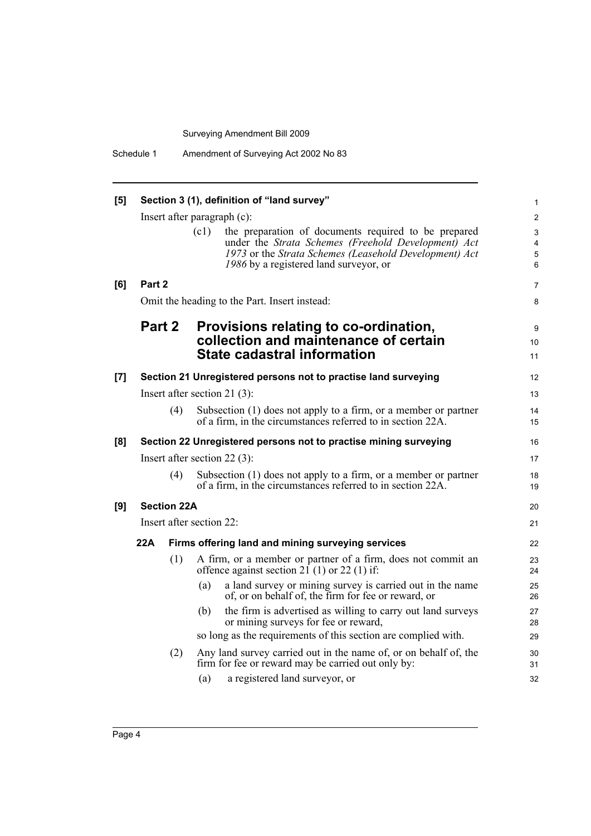| [5] |        |                    | Section 3 (1), definition of "land survey"                                                                                                                                                                              | $\mathbf{1}$                            |
|-----|--------|--------------------|-------------------------------------------------------------------------------------------------------------------------------------------------------------------------------------------------------------------------|-----------------------------------------|
|     |        |                    | Insert after paragraph $(c)$ :                                                                                                                                                                                          | $\overline{2}$                          |
|     |        |                    | (c1)<br>the preparation of documents required to be prepared<br>under the Strata Schemes (Freehold Development) Act<br>1973 or the Strata Schemes (Leasehold Development) Act<br>1986 by a registered land surveyor, or | $\mathsf 3$<br>4<br>$\overline{5}$<br>6 |
| [6] | Part 2 |                    |                                                                                                                                                                                                                         | $\overline{7}$                          |
|     |        |                    | Omit the heading to the Part. Insert instead:                                                                                                                                                                           | 8                                       |
|     | Part 2 |                    | Provisions relating to co-ordination,<br>collection and maintenance of certain<br><b>State cadastral information</b>                                                                                                    | 9<br>10<br>11                           |
| [7] |        |                    | Section 21 Unregistered persons not to practise land surveying                                                                                                                                                          | 12                                      |
|     |        |                    | Insert after section 21 $(3)$ :                                                                                                                                                                                         | 13                                      |
|     |        | (4)                | Subsection (1) does not apply to a firm, or a member or partner<br>of a firm, in the circumstances referred to in section 22A.                                                                                          | 14<br>15                                |
| [8] |        |                    | Section 22 Unregistered persons not to practise mining surveying                                                                                                                                                        | 16                                      |
|     |        |                    | Insert after section $22(3)$ :                                                                                                                                                                                          | 17                                      |
|     |        | (4)                | Subsection $(1)$ does not apply to a firm, or a member or partner<br>of a firm, in the circumstances referred to in section 22A.                                                                                        | 18<br>19                                |
| [9] |        | <b>Section 22A</b> |                                                                                                                                                                                                                         | 20                                      |
|     |        |                    | Insert after section 22:                                                                                                                                                                                                | 21                                      |
|     | 22A    |                    | Firms offering land and mining surveying services                                                                                                                                                                       | 22                                      |
|     |        | (1)                | A firm, or a member or partner of a firm, does not commit an<br>offence against section $2\overline{1}$ (1) or 22 (1) if:                                                                                               | 23<br>24                                |
|     |        |                    | a land survey or mining survey is carried out in the name<br>(a)<br>of, or on behalf of, the firm for fee or reward, or                                                                                                 | 25<br>26                                |
|     |        |                    | the firm is advertised as willing to carry out land surveys<br>(b)<br>or mining surveys for fee or reward,                                                                                                              | 27<br>28                                |
|     |        |                    | so long as the requirements of this section are complied with.                                                                                                                                                          | 29                                      |
|     |        | (2)                | Any land survey carried out in the name of, or on behalf of, the<br>firm for fee or reward may be carried out only by:                                                                                                  | 30<br>31                                |
|     |        |                    | (a)<br>a registered land surveyor, or                                                                                                                                                                                   | 32                                      |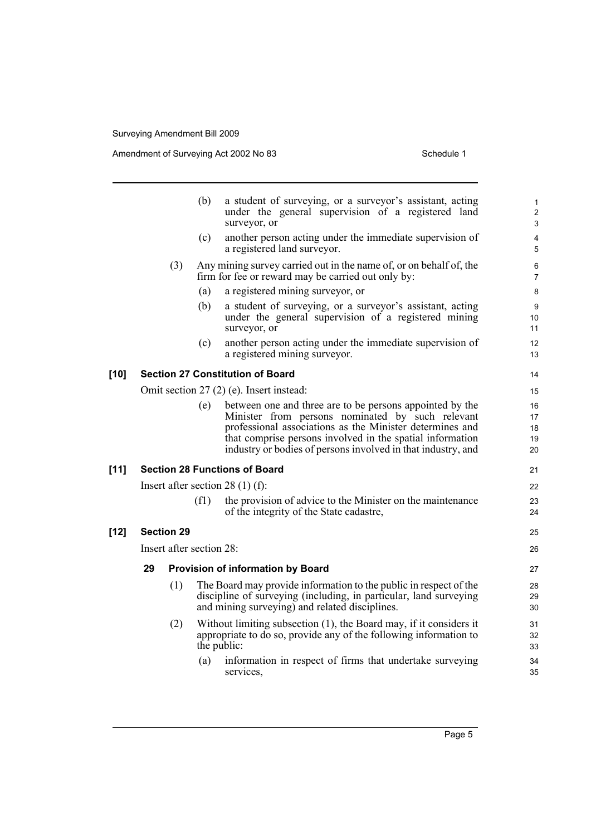Amendment of Surveying Act 2002 No 83 Schedule 1

|        |    |                          | (b)         | a student of surveying, or a surveyor's assistant, acting<br>under the general supervision of a registered land<br>surveyor, or                                                                                                                                                                       | 1<br>$\overline{c}$<br>3   |
|--------|----|--------------------------|-------------|-------------------------------------------------------------------------------------------------------------------------------------------------------------------------------------------------------------------------------------------------------------------------------------------------------|----------------------------|
|        |    |                          | (c)         | another person acting under the immediate supervision of<br>a registered land surveyor.                                                                                                                                                                                                               | 4<br>5                     |
|        |    | (3)                      |             | Any mining survey carried out in the name of, or on behalf of, the<br>firm for fee or reward may be carried out only by:                                                                                                                                                                              | 6<br>$\overline{7}$        |
|        |    |                          | (a)         | a registered mining surveyor, or                                                                                                                                                                                                                                                                      | 8                          |
|        |    |                          | (b)         | a student of surveying, or a surveyor's assistant, acting<br>under the general supervision of a registered mining<br>surveyor, or                                                                                                                                                                     | 9<br>10<br>11              |
|        |    |                          | (c)         | another person acting under the immediate supervision of<br>a registered mining surveyor.                                                                                                                                                                                                             | 12<br>13                   |
| $[10]$ |    |                          |             | <b>Section 27 Constitution of Board</b>                                                                                                                                                                                                                                                               | 14                         |
|        |    |                          |             | Omit section 27 (2) (e). Insert instead:                                                                                                                                                                                                                                                              | 15                         |
|        |    |                          | (e)         | between one and three are to be persons appointed by the<br>Minister from persons nominated by such relevant<br>professional associations as the Minister determines and<br>that comprise persons involved in the spatial information<br>industry or bodies of persons involved in that industry, and | 16<br>17<br>18<br>19<br>20 |
| $[11]$ |    |                          |             | <b>Section 28 Functions of Board</b>                                                                                                                                                                                                                                                                  | 21                         |
|        |    |                          |             | Insert after section 28 $(1)$ (f):                                                                                                                                                                                                                                                                    | 22                         |
|        |    |                          | (f1)        | the provision of advice to the Minister on the maintenance<br>of the integrity of the State cadastre,                                                                                                                                                                                                 | 23<br>24                   |
| $[12]$ |    | <b>Section 29</b>        |             |                                                                                                                                                                                                                                                                                                       | 25                         |
|        |    | Insert after section 28: |             |                                                                                                                                                                                                                                                                                                       | 26                         |
|        | 29 |                          |             | <b>Provision of information by Board</b>                                                                                                                                                                                                                                                              | 27                         |
|        |    | (1)                      |             | The Board may provide information to the public in respect of the<br>discipline of surveying (including, in particular, land surveying<br>and mining surveying) and related disciplines.                                                                                                              | 28<br>29<br>30             |
|        |    | (2)                      | the public: | Without limiting subsection (1), the Board may, if it considers it<br>appropriate to do so, provide any of the following information to                                                                                                                                                               | 31<br>32<br>33             |
|        |    |                          | (a)         | information in respect of firms that undertake surveying<br>services,                                                                                                                                                                                                                                 | 34<br>35                   |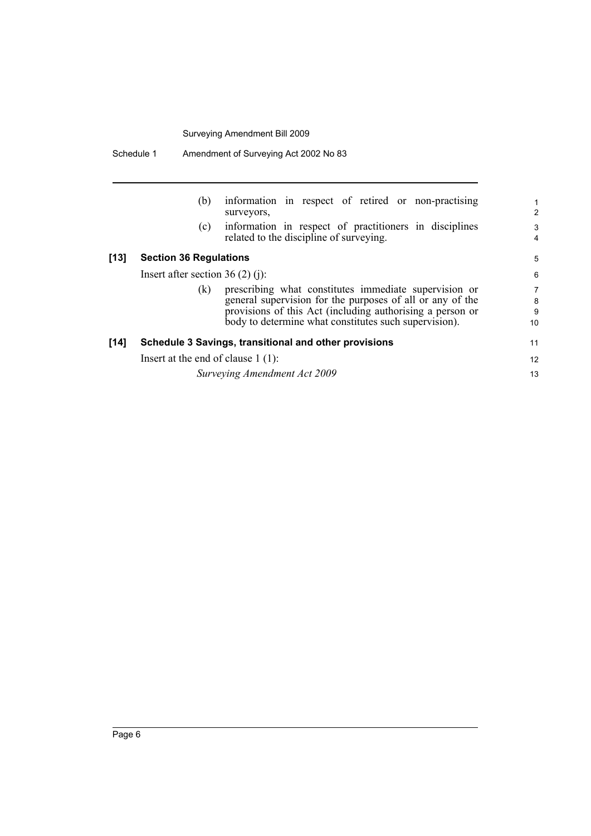|        | (b)                                  | information in respect of retired or non-practising<br>surveyors,                                                                                                                                                                        | 2                              |
|--------|--------------------------------------|------------------------------------------------------------------------------------------------------------------------------------------------------------------------------------------------------------------------------------------|--------------------------------|
|        | (c)                                  | information in respect of practitioners in disciplines<br>related to the discipline of surveying.                                                                                                                                        | 3<br>4                         |
| [13]   | <b>Section 36 Regulations</b>        |                                                                                                                                                                                                                                          | 5                              |
|        | Insert after section $36(2)(i)$ :    |                                                                                                                                                                                                                                          | 6                              |
|        | (k)                                  | prescribing what constitutes immediate supervision or<br>general supervision for the purposes of all or any of the<br>provisions of this Act (including authorising a person or<br>body to determine what constitutes such supervision). | $\overline{7}$<br>8<br>9<br>10 |
| $[14]$ |                                      | Schedule 3 Savings, transitional and other provisions                                                                                                                                                                                    | 11                             |
|        | Insert at the end of clause $1(1)$ : |                                                                                                                                                                                                                                          | 12                             |
|        |                                      | Surveying Amendment Act 2009                                                                                                                                                                                                             | 13                             |
|        |                                      |                                                                                                                                                                                                                                          |                                |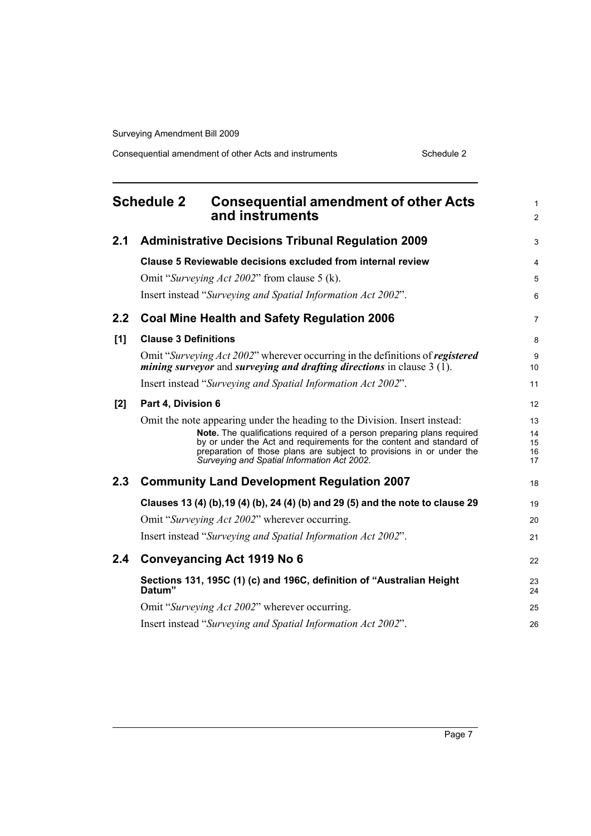Consequential amendment of other Acts and instruments Schedule 2

<span id="page-12-0"></span>

|     | <b>Schedule 2</b><br><b>Consequential amendment of other Acts</b><br>and instruments                                                                                                                                                                                                                                                                | $\mathbf{1}$<br>2          |
|-----|-----------------------------------------------------------------------------------------------------------------------------------------------------------------------------------------------------------------------------------------------------------------------------------------------------------------------------------------------------|----------------------------|
| 2.1 | <b>Administrative Decisions Tribunal Regulation 2009</b>                                                                                                                                                                                                                                                                                            | 3                          |
|     | Clause 5 Reviewable decisions excluded from internal review                                                                                                                                                                                                                                                                                         | 4                          |
|     | Omit "Surveying Act 2002" from clause 5 (k).                                                                                                                                                                                                                                                                                                        | 5                          |
|     | Insert instead "Surveying and Spatial Information Act 2002".                                                                                                                                                                                                                                                                                        | 6                          |
| 2.2 | <b>Coal Mine Health and Safety Regulation 2006</b>                                                                                                                                                                                                                                                                                                  | $\overline{7}$             |
| [1] | <b>Clause 3 Definitions</b>                                                                                                                                                                                                                                                                                                                         | 8                          |
|     | Omit "Surveying Act 2002" wherever occurring in the definitions of registered<br><i>mining surveyor</i> and <i>surveying and drafting directions</i> in clause $3(\tilde{1})$ .                                                                                                                                                                     | 9<br>10                    |
|     | Insert instead "Surveying and Spatial Information Act 2002".                                                                                                                                                                                                                                                                                        | 11                         |
| [2] | Part 4, Division 6                                                                                                                                                                                                                                                                                                                                  | 12                         |
|     | Omit the note appearing under the heading to the Division. Insert instead:<br>Note. The qualifications required of a person preparing plans required<br>by or under the Act and requirements for the content and standard of<br>preparation of those plans are subject to provisions in or under the<br>Surveying and Spatial Information Act 2002. | 13<br>14<br>15<br>16<br>17 |
| 2.3 | <b>Community Land Development Regulation 2007</b>                                                                                                                                                                                                                                                                                                   | 18                         |
|     | Clauses 13 (4) (b), 19 (4) (b), 24 (4) (b) and 29 (5) and the note to clause 29                                                                                                                                                                                                                                                                     | 19                         |
|     | Omit "Surveying Act 2002" wherever occurring.                                                                                                                                                                                                                                                                                                       | 20                         |
|     | Insert instead "Surveying and Spatial Information Act 2002".                                                                                                                                                                                                                                                                                        | 21                         |
| 2.4 | Conveyancing Act 1919 No 6                                                                                                                                                                                                                                                                                                                          | 22                         |
|     | Sections 131, 195C (1) (c) and 196C, definition of "Australian Height<br>Datum"                                                                                                                                                                                                                                                                     | 23<br>24                   |
|     | Omit "Surveying Act 2002" wherever occurring.                                                                                                                                                                                                                                                                                                       | 25                         |
|     | Insert instead "Surveying and Spatial Information Act 2002".                                                                                                                                                                                                                                                                                        | 26                         |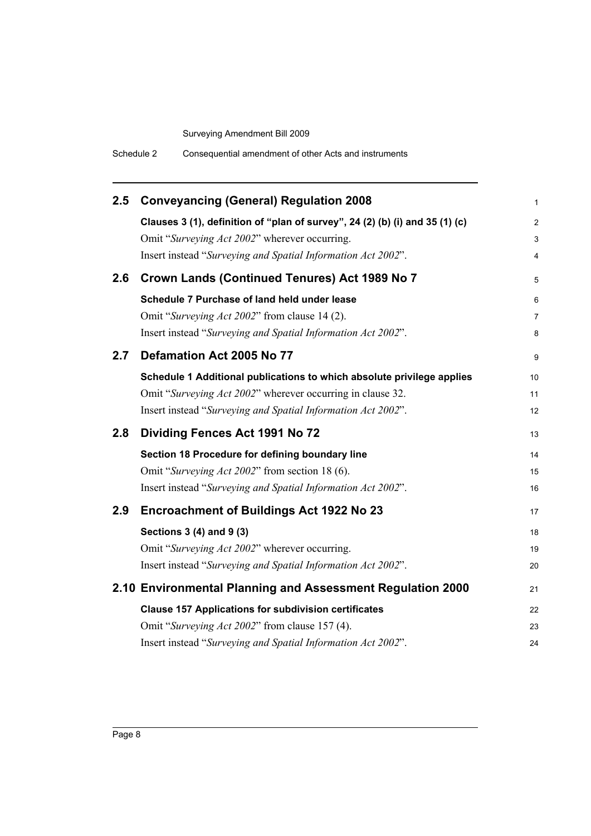| Schedule 2 | Consequential amendment of other Acts and instruments |
|------------|-------------------------------------------------------|
|------------|-------------------------------------------------------|

| 2.5 | <b>Conveyancing (General) Regulation 2008</b>                                | 1              |
|-----|------------------------------------------------------------------------------|----------------|
|     | Clauses 3 (1), definition of "plan of survey", 24 (2) (b) (i) and 35 (1) (c) | $\overline{2}$ |
|     | Omit "Surveying Act 2002" wherever occurring.                                | 3              |
|     | Insert instead "Surveying and Spatial Information Act 2002".                 | 4              |
| 2.6 | Crown Lands (Continued Tenures) Act 1989 No 7                                | 5              |
|     | Schedule 7 Purchase of land held under lease                                 | 6              |
|     | Omit "Surveying Act 2002" from clause 14 (2).                                | 7              |
|     | Insert instead "Surveying and Spatial Information Act 2002".                 | 8              |
| 2.7 | Defamation Act 2005 No 77                                                    | 9              |
|     | Schedule 1 Additional publications to which absolute privilege applies       | 10             |
|     | Omit "Surveying Act 2002" wherever occurring in clause 32.                   | 11             |
|     | Insert instead "Surveying and Spatial Information Act 2002".                 | 12             |
| 2.8 | Dividing Fences Act 1991 No 72                                               | 13             |
|     | Section 18 Procedure for defining boundary line                              | 14             |
|     | Omit "Surveying Act 2002" from section 18 (6).                               | 15             |
|     | Insert instead "Surveying and Spatial Information Act 2002".                 | 16             |
| 2.9 | <b>Encroachment of Buildings Act 1922 No 23</b>                              | 17             |
|     | Sections 3 (4) and 9 (3)                                                     | 18             |
|     | Omit "Surveying Act 2002" wherever occurring.                                | 19             |
|     | Insert instead "Surveying and Spatial Information Act 2002".                 | 20             |
|     | 2.10 Environmental Planning and Assessment Regulation 2000                   | 21             |
|     | <b>Clause 157 Applications for subdivision certificates</b>                  | 22             |
|     | Omit "Surveying Act 2002" from clause 157 (4).                               | 23             |
|     | Insert instead "Surveying and Spatial Information Act 2002".                 | 24             |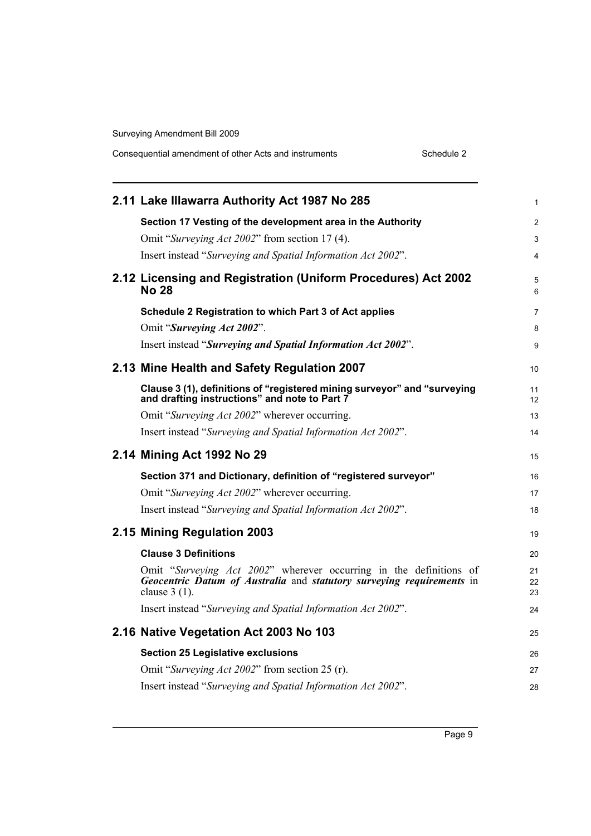| Consequential amendment of other Acts and instruments |  |  | Schedule 2 |
|-------------------------------------------------------|--|--|------------|
|-------------------------------------------------------|--|--|------------|

| 1                                                                                                                                                             |
|---------------------------------------------------------------------------------------------------------------------------------------------------------------|
| $\overline{2}$                                                                                                                                                |
| 3                                                                                                                                                             |
| 4                                                                                                                                                             |
| 2.12 Licensing and Registration (Uniform Procedures) Act 2002<br>5<br>6                                                                                       |
| 7                                                                                                                                                             |
| 8                                                                                                                                                             |
| 9                                                                                                                                                             |
| 10                                                                                                                                                            |
| Clause 3 (1), definitions of "registered mining surveyor" and "surveying<br>11<br>12                                                                          |
| 13                                                                                                                                                            |
| 14                                                                                                                                                            |
| 15                                                                                                                                                            |
| 16                                                                                                                                                            |
| 17                                                                                                                                                            |
| 18                                                                                                                                                            |
| 19                                                                                                                                                            |
|                                                                                                                                                               |
| 20                                                                                                                                                            |
| Omit "Surveying Act 2002" wherever occurring in the definitions of<br>21<br>Geocentric Datum of Australia and statutory surveying requirements in<br>22<br>23 |
| 24                                                                                                                                                            |
| 25                                                                                                                                                            |
| 26                                                                                                                                                            |
| 27                                                                                                                                                            |
|                                                                                                                                                               |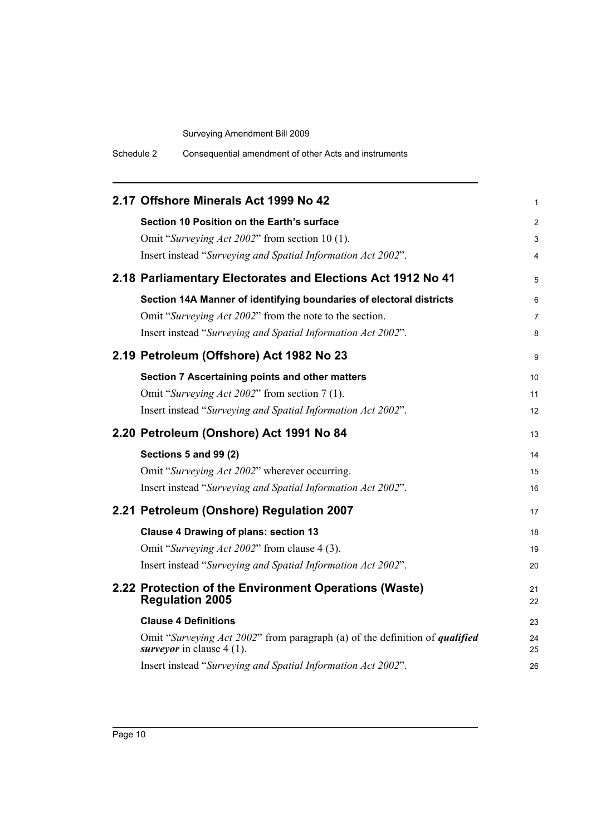| Schedule 2 | Consequential amendment of other Acts and instruments |
|------------|-------------------------------------------------------|
|------------|-------------------------------------------------------|

| 2.17 Offshore Minerals Act 1999 No 42                                                                                    | 1              |
|--------------------------------------------------------------------------------------------------------------------------|----------------|
| Section 10 Position on the Earth's surface                                                                               | $\overline{2}$ |
| Omit "Surveying Act 2002" from section 10 (1).                                                                           | 3              |
| Insert instead "Surveying and Spatial Information Act 2002".                                                             | 4              |
| 2.18 Parliamentary Electorates and Elections Act 1912 No 41                                                              | 5              |
| Section 14A Manner of identifying boundaries of electoral districts                                                      | 6              |
| Omit "Surveying Act 2002" from the note to the section.                                                                  | $\overline{7}$ |
| Insert instead "Surveying and Spatial Information Act 2002".                                                             | 8              |
| 2.19 Petroleum (Offshore) Act 1982 No 23                                                                                 | 9              |
| Section 7 Ascertaining points and other matters                                                                          | 10             |
| Omit "Surveying Act 2002" from section 7 (1).                                                                            | 11             |
| Insert instead "Surveying and Spatial Information Act 2002".                                                             | 12             |
| 2.20 Petroleum (Onshore) Act 1991 No 84                                                                                  | 13             |
| Sections 5 and 99 (2)                                                                                                    | 14             |
| Omit "Surveying Act 2002" wherever occurring.                                                                            | 15             |
| Insert instead "Surveying and Spatial Information Act 2002".                                                             | 16             |
| 2.21 Petroleum (Onshore) Regulation 2007                                                                                 | 17             |
| <b>Clause 4 Drawing of plans: section 13</b>                                                                             | 18             |
| Omit "Surveying Act 2002" from clause 4 (3).                                                                             | 19             |
| Insert instead "Surveying and Spatial Information Act 2002".                                                             | 20             |
| 2.22 Protection of the Environment Operations (Waste)<br><b>Regulation 2005</b>                                          | 21<br>22       |
| <b>Clause 4 Definitions</b>                                                                                              | 23             |
| Omit "Surveying Act 2002" from paragraph (a) of the definition of <i>qualified</i><br><i>surveyor</i> in clause $4(1)$ . | 24<br>25       |
| Insert instead "Surveying and Spatial Information Act 2002".                                                             | 26             |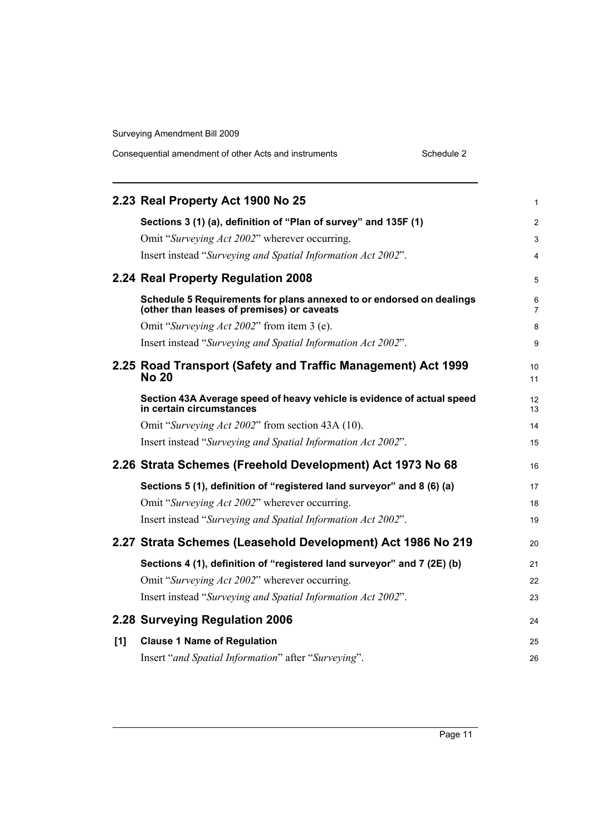|     | 2.23 Real Property Act 1900 No 25                                                                                  | 1              |
|-----|--------------------------------------------------------------------------------------------------------------------|----------------|
|     | Sections 3 (1) (a), definition of "Plan of survey" and 135F (1)                                                    | $\overline{2}$ |
|     | Omit "Surveying Act 2002" wherever occurring.                                                                      | 3              |
|     | Insert instead "Surveying and Spatial Information Act 2002".                                                       | 4              |
|     | 2.24 Real Property Regulation 2008                                                                                 | 5              |
|     | Schedule 5 Requirements for plans annexed to or endorsed on dealings<br>(other than leases of premises) or caveats | 6<br>7         |
|     | Omit "Surveying Act 2002" from item 3 (e).                                                                         | 8              |
|     | Insert instead "Surveying and Spatial Information Act 2002".                                                       | 9              |
|     | 2.25 Road Transport (Safety and Traffic Management) Act 1999<br><b>No 20</b>                                       | 10<br>11       |
|     | Section 43A Average speed of heavy vehicle is evidence of actual speed<br>in certain circumstances                 | 12<br>13       |
|     | Omit "Surveying Act 2002" from section 43A (10).                                                                   | 14             |
|     | Insert instead "Surveying and Spatial Information Act 2002".                                                       | 15             |
|     | 2.26 Strata Schemes (Freehold Development) Act 1973 No 68                                                          | 16             |
|     | Sections 5 (1), definition of "registered land surveyor" and 8 (6) (a)                                             | 17             |
|     | Omit "Surveying Act 2002" wherever occurring.                                                                      | 18             |
|     | Insert instead "Surveying and Spatial Information Act 2002".                                                       | 19             |
|     | 2.27 Strata Schemes (Leasehold Development) Act 1986 No 219                                                        | 20             |
|     | Sections 4 (1), definition of "registered land surveyor" and 7 (2E) (b)                                            | 21             |
|     | Omit "Surveying Act 2002" wherever occurring.                                                                      | 22             |
|     | Insert instead "Surveying and Spatial Information Act 2002".                                                       | 23             |
|     | 2.28 Surveying Regulation 2006                                                                                     | 24             |
| [1] | <b>Clause 1 Name of Regulation</b>                                                                                 | 25             |
|     | Insert "and Spatial Information" after "Surveying".                                                                | 26             |